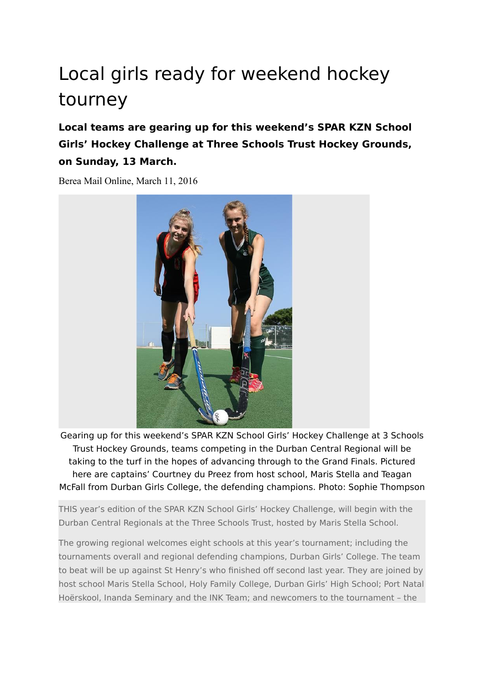## Local girls ready for weekend hockey tourney

## **Local teams are gearing up for this weekend's SPAR KZN School Girls' Hockey Challenge at Three Schools Trust Hockey Grounds, on Sunday, 13 March.**

Berea Mail Online, March 11, 2016



Gearing up for this weekend's SPAR KZN School Girls' Hockey Challenge at 3 Schools Trust Hockey Grounds, teams competing in the Durban Central Regional will be taking to the turf in the hopes of advancing through to the Grand Finals. Pictured here are captains' Courtney du Preez from host school, Maris Stella and Teagan McFall from Durban Girls College, the defending champions. Photo: Sophie Thompson

THIS year's edition of the SPAR KZN School Girls' Hockey Challenge, will begin with the Durban Central Regionals at the Three Schools Trust, hosted by Maris Stella School.

The growing regional welcomes eight schools at this year's tournament; including the tournaments overall and regional defending champions, Durban Girls' College. The team to beat will be up against St Henry's who finished off second last year. They are joined by host school Maris Stella School, Holy Family College, Durban Girls' High School; Port Natal Hoërskool, Inanda Seminary and the INK Team; and newcomers to the tournament – the